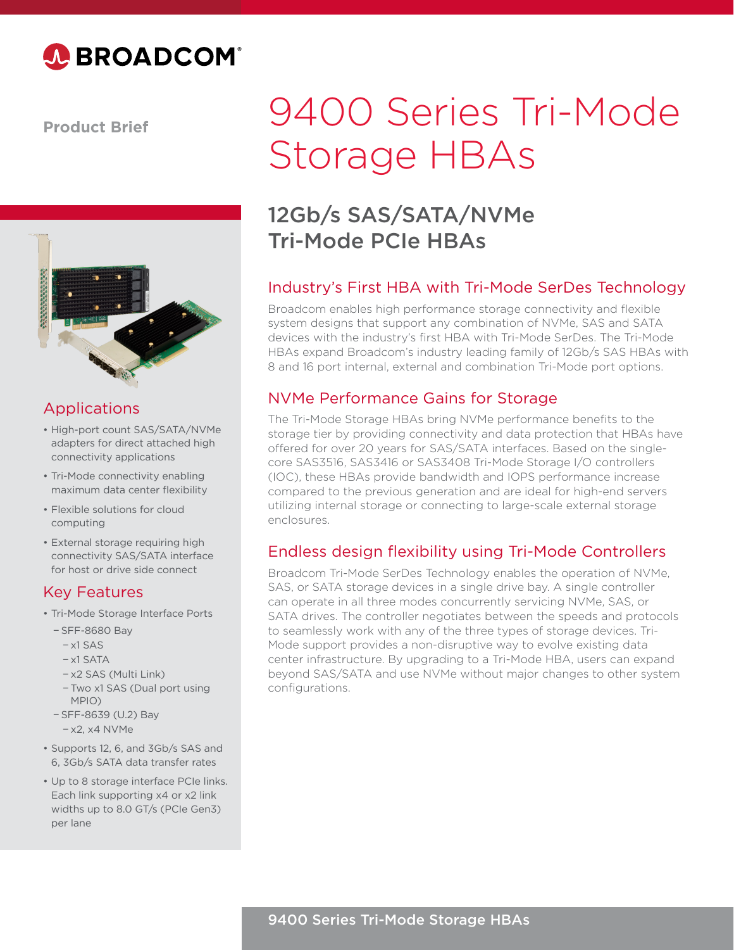

**Product Brief**



## Applications

- High-port count SAS/SATA/NVMe adapters for direct attached high connectivity applications
- Tri-Mode connectivity enabling maximum data center flexibility
- Flexible solutions for cloud computing
- External storage requiring high connectivity SAS/SATA interface for host or drive side connect

#### Key Features

- Tri-Mode Storage Interface Ports
	- − SFF-8680 Bay
		- − x1 SAS
		- − x1 SATA
		- − x2 SAS (Multi Link)
		- − Two x1 SAS (Dual port using MPIO)
	- − SFF-8639 (U.2) Bay − x2, x4 NVMe
- Supports 12, 6, and 3Gb/s SAS and 6, 3Gb/s SATA data transfer rates
- Up to 8 storage interface PCIe links. Each link supporting x4 or x2 link widths up to 8.0 GT/s (PCIe Gen3) per lane

# 9400 Series Tri-Mode Storage HBAs

## 12Gb/s SAS/SATA/NVMe Tri-Mode PCIe HBAs

### Industry's First HBA with Tri-Mode SerDes Technology

Broadcom enables high performance storage connectivity and flexible system designs that support any combination of NVMe, SAS and SATA devices with the industry's first HBA with Tri-Mode SerDes. The Tri-Mode HBAs expand Broadcom's industry leading family of 12Gb/s SAS HBAs with 8 and 16 port internal, external and combination Tri-Mode port options.

### NVMe Performance Gains for Storage

The Tri-Mode Storage HBAs bring NVMe performance benefits to the storage tier by providing connectivity and data protection that HBAs have offered for over 20 years for SAS/SATA interfaces. Based on the singlecore SAS3516, SAS3416 or SAS3408 Tri-Mode Storage I/O controllers (IOC), these HBAs provide bandwidth and IOPS performance increase compared to the previous generation and are ideal for high-end servers utilizing internal storage or connecting to large-scale external storage enclosures.

#### Endless design flexibility using Tri-Mode Controllers

Broadcom Tri-Mode SerDes Technology enables the operation of NVMe, SAS, or SATA storage devices in a single drive bay. A single controller can operate in all three modes concurrently servicing NVMe, SAS, or SATA drives. The controller negotiates between the speeds and protocols to seamlessly work with any of the three types of storage devices. Tri-Mode support provides a non-disruptive way to evolve existing data center infrastructure. By upgrading to a Tri-Mode HBA, users can expand beyond SAS/SATA and use NVMe without major changes to other system configurations.